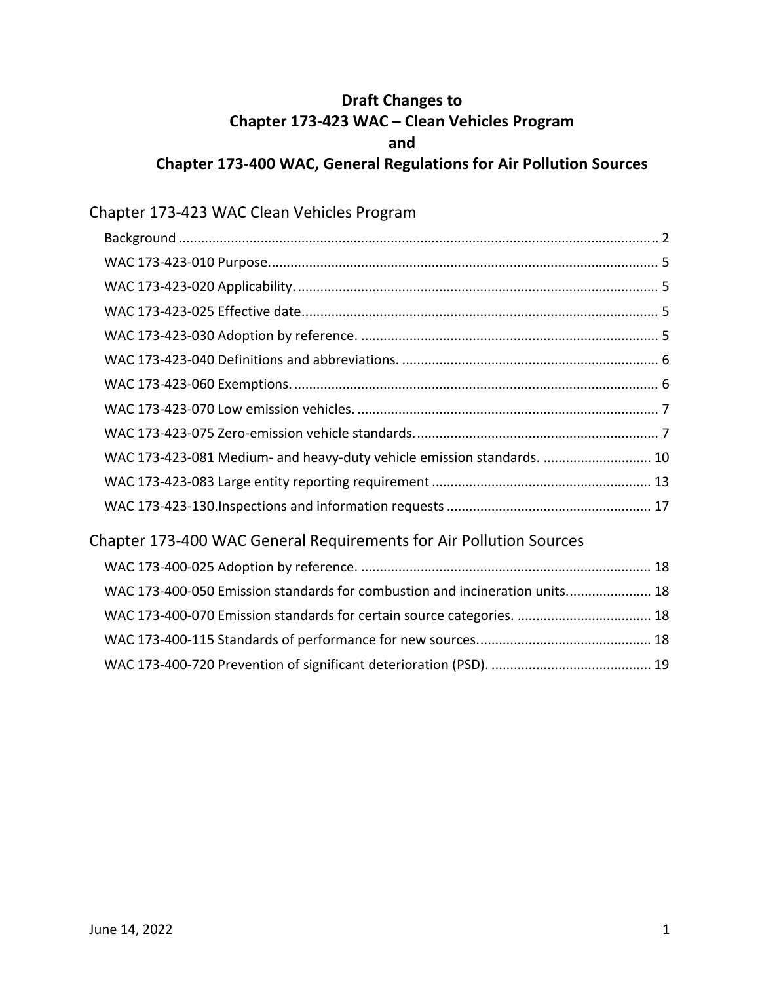# **Draft Changes to Chapter 173‐423 WAC – Clean Vehicles Program Chapter 173‐400 WAC, General Regulations for Air Pollution Sources and**

# Chapter 173‐423 WAC Clean Vehicles Program

| WAC 173-423-081 Medium- and heavy-duty vehicle emission standards.  10      |  |
|-----------------------------------------------------------------------------|--|
|                                                                             |  |
|                                                                             |  |
| Chapter 173-400 WAC General Requirements for Air Pollution Sources          |  |
|                                                                             |  |
| WAC 173-400-050 Emission standards for combustion and incineration units 18 |  |
| WAC 173-400-070 Emission standards for certain source categories.  18       |  |
|                                                                             |  |

WAC 173‐400‐720 Prevention of significant deterioration (PSD). ........................................... 19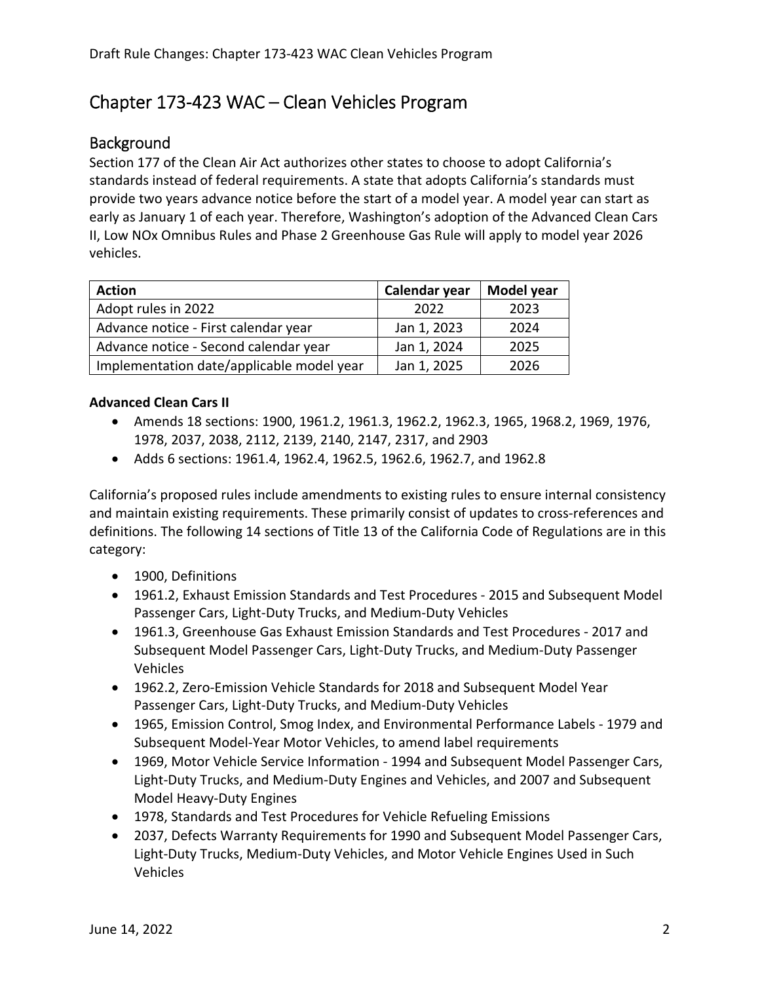# Chapter 173‐423 WAC – Clean Vehicles Program

#### **Background**

 Section 177 of the Clean Air Act authorizes other states to choose to adopt California's standards instead of federal requirements. A state that adopts California's standards must provide two years advance notice before the start of a model year. A model year can start as early as January 1 of each year. Therefore, Washington's adoption of the Advanced Clean Cars II, Low NOx Omnibus Rules and Phase 2 Greenhouse Gas Rule will apply to model year 2026 vehicles.

| <b>Action</b>                             | Calendar year | Model year |
|-------------------------------------------|---------------|------------|
| Adopt rules in 2022                       | 2022          | 2023       |
| Advance notice - First calendar year      | Jan 1, 2023   | 2024       |
| Advance notice - Second calendar year     | Jan 1, 2024   | 2025       |
| Implementation date/applicable model year | Jan 1, 2025   | 2026       |

#### **Advanced Clean Cars II**

- Amends 18 sections: 1900, 1961.2, 1961.3, 1962.2, 1962.3, 1965, 1968.2, 1969, 1976, 1978, 2037, 2038, 2112, 2139, 2140, 2147, 2317, and 2903
- Adds 6 sections: 1961.4, 1962.4, 1962.5, 1962.6, 1962.7, and 1962.8

 California's proposed rules include amendments to existing rules to ensure internal consistency and maintain existing requirements. These primarily consist of updates to cross‐references and definitions. The following 14 sections of Title 13 of the California Code of Regulations are in this category:

- 1900, Definitions
- 1961.2, Exhaust Emission Standards and Test Procedures ‐ 2015 and Subsequent Model Passenger Cars, Light‐Duty Trucks, and Medium‐Duty Vehicles
- 1961.3, Greenhouse Gas Exhaust Emission Standards and Test Procedures ‐ 2017 and Subsequent Model Passenger Cars, Light‐Duty Trucks, and Medium‐Duty Passenger Vehicles
- 1962.2, Zero-Emission Vehicle Standards for 2018 and Subsequent Model Year Passenger Cars, Light‐Duty Trucks, and Medium‐Duty Vehicles
- 1965, Emission Control, Smog Index, and Environmental Performance Labels ‐ 1979 and Subsequent Model‐Year Motor Vehicles, to amend label requirements
- 1969, Motor Vehicle Service Information 1994 and Subsequent Model Passenger Cars, Light‐Duty Trucks, and Medium‐Duty Engines and Vehicles, and 2007 and Subsequent Model Heavy‐Duty Engines
- 1978, Standards and Test Procedures for Vehicle Refueling Emissions
- 2037, Defects Warranty Requirements for 1990 and Subsequent Model Passenger Cars, Light‐Duty Trucks, Medium‐Duty Vehicles, and Motor Vehicle Engines Used in Such Vehicles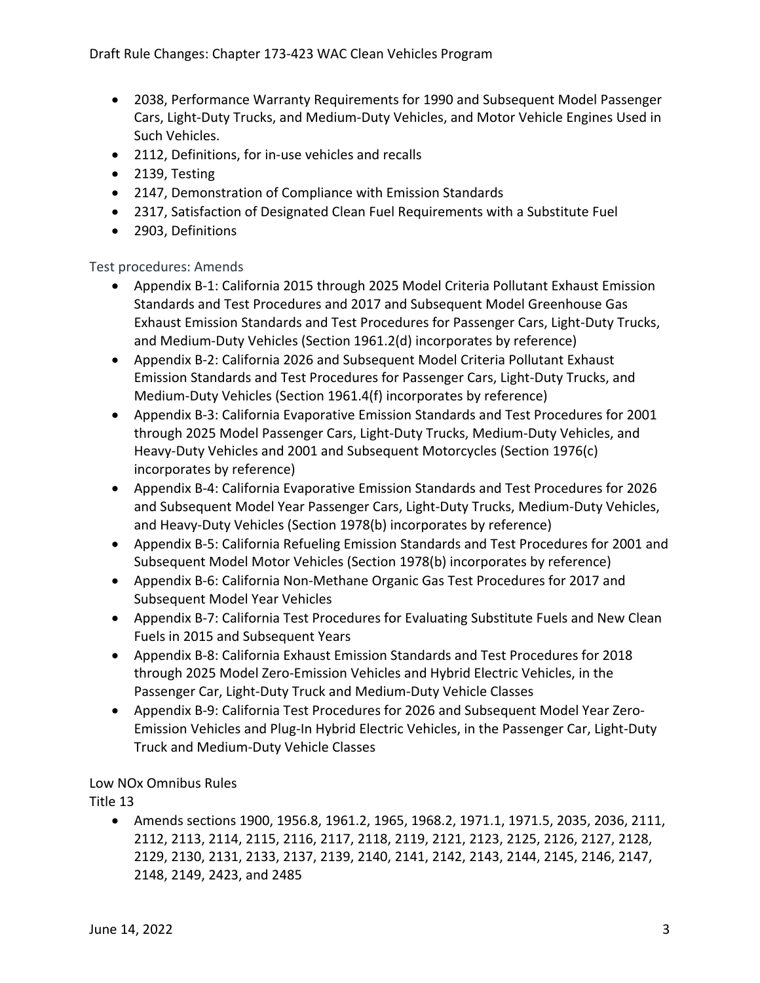- 2038, Performance Warranty Requirements for 1990 and Subsequent Model Passenger Cars, Light‐Duty Trucks, and Medium‐Duty Vehicles, and Motor Vehicle Engines Used in Such Vehicles.
- 2112, Definitions, for in-use vehicles and recalls
- 2139, Testing
- 2147, Demonstration of Compliance with Emission Standards
- 2317, Satisfaction of Designated Clean Fuel Requirements with a Substitute Fuel
- 2903, Definitions

#### Test procedures: Amends

- Appendix B-1: California 2015 through 2025 Model Criteria Pollutant Exhaust Emission Standards and Test Procedures and 2017 and Subsequent Model Greenhouse Gas Exhaust Emission Standards and Test Procedures for Passenger Cars, Light‐Duty Trucks, and Medium‐Duty Vehicles (Section 1961.2(d) incorporates by reference)
- Appendix B-2: California 2026 and Subsequent Model Criteria Pollutant Exhaust Emission Standards and Test Procedures for Passenger Cars, Light‐Duty Trucks, and Medium‐Duty Vehicles (Section 1961.4(f) incorporates by reference)
- Appendix B-3: California Evaporative Emission Standards and Test Procedures for 2001 through 2025 Model Passenger Cars, Light‐Duty Trucks, Medium‐Duty Vehicles, and Heavy‐Duty Vehicles and 2001 and Subsequent Motorcycles (Section 1976(c) incorporates by reference)
- Appendix B‐4: California Evaporative Emission Standards and Test Procedures for 2026 and Subsequent Model Year Passenger Cars, Light‐Duty Trucks, Medium‐Duty Vehicles, and Heavy‐Duty Vehicles (Section 1978(b) incorporates by reference)
- Appendix B-5: California Refueling Emission Standards and Test Procedures for 2001 and Subsequent Model Motor Vehicles (Section 1978(b) incorporates by reference)
- Appendix B-6: California Non-Methane Organic Gas Test Procedures for 2017 and Subsequent Model Year Vehicles
- Appendix B-7: California Test Procedures for Evaluating Substitute Fuels and New Clean Fuels in 2015 and Subsequent Years
- Appendix B-8: California Exhaust Emission Standards and Test Procedures for 2018 through 2025 Model Zero‐Emission Vehicles and Hybrid Electric Vehicles, in the Passenger Car, Light‐Duty Truck and Medium‐Duty Vehicle Classes
- Appendix B-9: California Test Procedures for 2026 and Subsequent Model Year Zero- Emission Vehicles and Plug‐In Hybrid Electric Vehicles, in the Passenger Car, Light‐Duty Truck and Medium‐Duty Vehicle Classes

#### Low NOx Omnibus Rules

Title 13

 Amends sections 1900, 1956.8, 1961.2, 1965, 1968.2, 1971.1, 1971.5, 2035, 2036, 2111, 2112, 2113, 2114, 2115, 2116, 2117, 2118, 2119, 2121, 2123, 2125, 2126, 2127, 2128, 2148, 2149, 2423, and 2485 2129, 2130, 2131, 2133, 2137, 2139, 2140, 2141, 2142, 2143, 2144, 2145, 2146, 2147,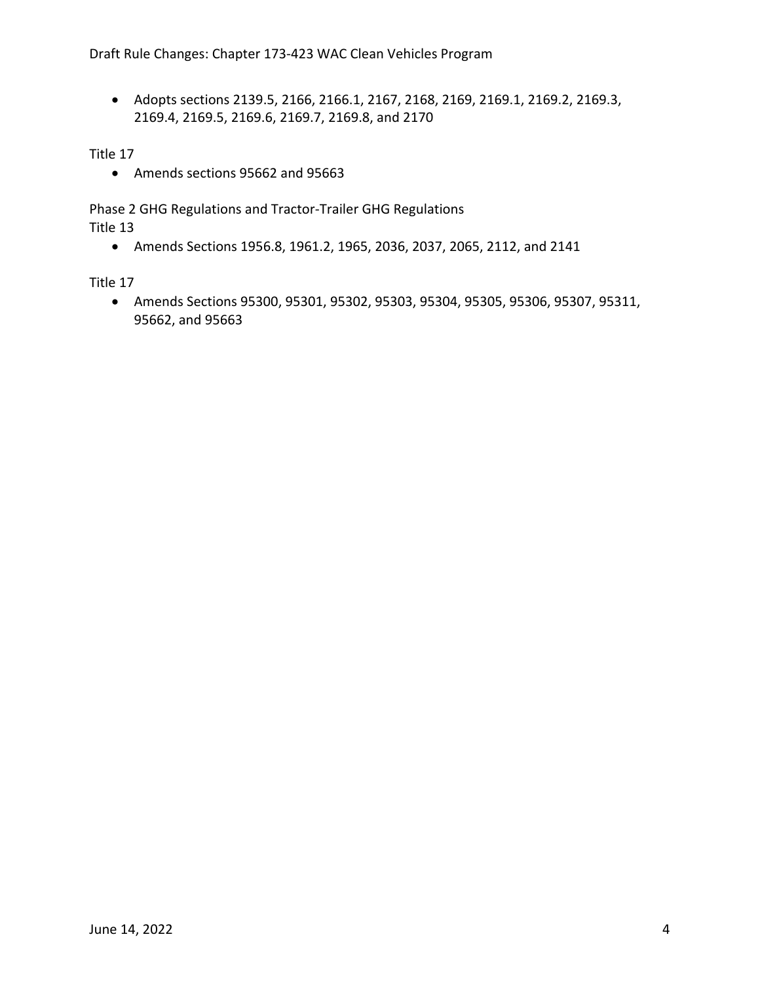Adopts sections 2139.5, 2166, 2166.1, 2167, 2168, 2169, 2169.1, 2169.2, 2169.3, 2169.4, 2169.5, 2169.6, 2169.7, 2169.8, and 2170

Title 17

Amends sections 95662 and 95663

 Phase 2 GHG Regulations and Tractor‐Trailer GHG Regulations Title 13

Amends Sections 1956.8, 1961.2, 1965, 2036, 2037, 2065, 2112, and 2141

Title 17

 95662, and 95663 Amends Sections 95300, 95301, 95302, 95303, 95304, 95305, 95306, 95307, 95311,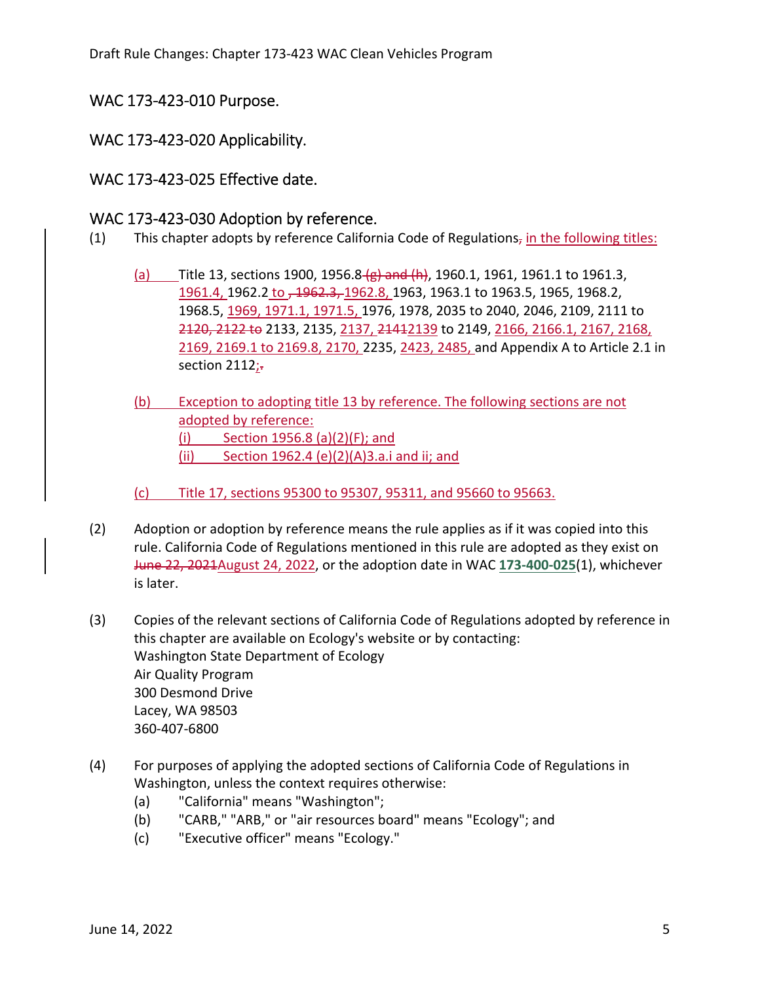#### WAC 173‐423‐010 Purpose.

#### WAC 173-423-020 Applicability.

#### WAC 173‐423‐025 Effective date.

#### WAC 173‐423‐030 Adoption by reference.

- (1) This chapter adopts by reference California Code of Regulations, in the following titles:
	- (a) Title 13, sections 1900, 1956.8 (g) and (h), 1960.1, 1961, 1961.1 to 1961.3, 1961.4, 1962.2 to , 1962.3, 1962.8, 1963, 1963.1 to 1963.5, 1965, 1968.2, 1968.5, 1969, 1971.1, 1971.5, 1976, 1978, 2035 to 2040, 2046, 2109, 2111 to 2120, 2122 to 2133, 2135, 2137, 21412139 to 2149, 2166, 2166.1, 2167, 2168, 2169, 2169.1 to 2169.8, 2170, 2235, 2423, 2485, and Appendix A to Article 2.1 in -section 2112
	- (b) Exception to adopting title 13 by reference. The following sections are not adopted by reference: (i) Section 1956.8 (a)(2)(F); and (ii) Section 1962.4 (e)(2)(A)3.a.i and ii; and
	- (c) Title 17, sections 95300 to 95307, 95311, and 95660 to 95663.
- (2) Adoption or adoption by reference means the rule applies as if it was copied into this rule. California Code of Regulations mentioned in this rule are adopted as they exist on June 22, 2021August 24, 2022, or the adoption date in WAC **173‐400‐025**(1), whichever is later.
- (3) Copies of the relevant sections of California Code of Regulations adopted by reference in this chapter are available on Ecology's website or by contacting: Washington State Department of Ecology Air Quality Program 300 Desmond Drive Lacey, WA 98503 360‐407‐6800
- (4) For purposes of applying the adopted sections of California Code of Regulations in Washington, unless the context requires otherwise:
	- (a) "California" means "Washington";
	- (b) "CARB," "ARB," or "air resources board" means "Ecology"; and
	- (c) "Executive officer" means "Ecology."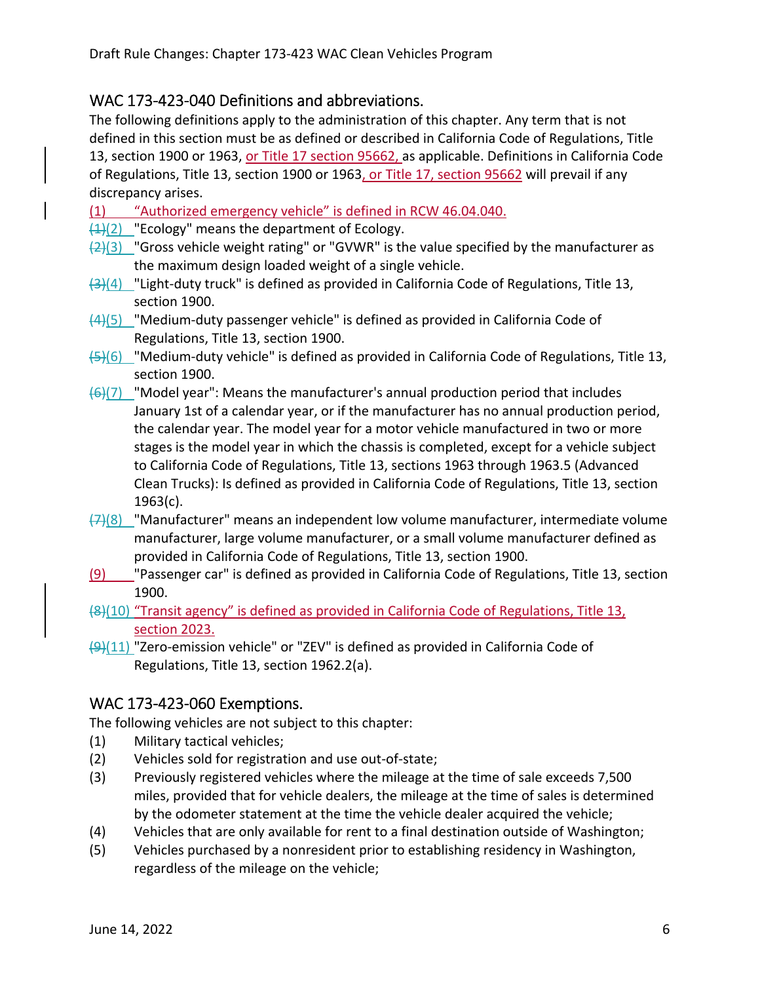# WAC 173‐423‐040 Definitions and abbreviations.

 The following definitions apply to the administration of this chapter. Any term that is not defined in this section must be as defined or described in California Code of Regulations, Title 13, section 1900 or 1963, <u>or Title 17 section 95662, a</u>s applicable. Definitions in California Code of Regulations, Title 13, section 1900 or 1963<u>, or Title 17, section 95662</u> will prevail if any discrepancy arises.

(1) "Authorized emergency vehicle" is defined in RCW 46.04.040.

- $\frac{1}{2}$ (2) "Ecology" means the department of Ecology.
- $\frac{1}{2}(2)(3)$  "Gross vehicle weight rating" or "GVWR" is the value specified by the manufacturer as the maximum design loaded weight of a single vehicle.
- (3)(4) "Light-duty truck" is defined as provided in California Code of Regulations, Title 13, section 1900.
- (4)(5) "Medium‐duty passenger vehicle" is defined as provided in California Code of Regulations, Title 13, section 1900.
- (5)(6) "Medium‐duty vehicle" is defined as provided in California Code of Regulations, Title 13, section 1900.
- (6)(7) "Model year": Means the manufacturer's annual production period that includes January 1st of a calendar year, or if the manufacturer has no annual production period, the calendar year. The model year for a motor vehicle manufactured in two or more stages is the model year in which the chassis is completed, except for a vehicle subject to California Code of Regulations, Title 13, sections 1963 through 1963.5 (Advanced Clean Trucks): Is defined as provided in California Code of Regulations, Title 13, section 1963(c).
- <del>(7)</del>(8) \_ "Manufacturer" means an independent low volume manufacturer, intermediate volume manufacturer, large volume manufacturer, or a small volume manufacturer defined as provided in California Code of Regulations, Title 13, section 1900.
- (9) Passenger car" is defined as provided in California Code of Regulations, Title 13, section 1900.
- (8)(10) "Transit agency" is defined as provided in California Code of Regulations, Title 13, section 2023.
- <del>(9)</del>(11) "Zero-emission vehicle" or "ZEV" is defined as provided in California Code of Regulations, Title 13, section 1962.2(a).

## WAC 173‐423‐060 Exemptions.

The following vehicles are not subject to this chapter:

- (1) Military tactical vehicles;
- (2) Vehicles sold for registration and use out‐of‐state;
- (3) Previously registered vehicles where the mileage at the time of sale exceeds 7,500 miles, provided that for vehicle dealers, the mileage at the time of sales is determined by the odometer statement at the time the vehicle dealer acquired the vehicle;
- (4) Vehicles that are only available for rent to a final destination outside of Washington;
- (5) Vehicles purchased by a nonresident prior to establishing residency in Washington, regardless of the mileage on the vehicle;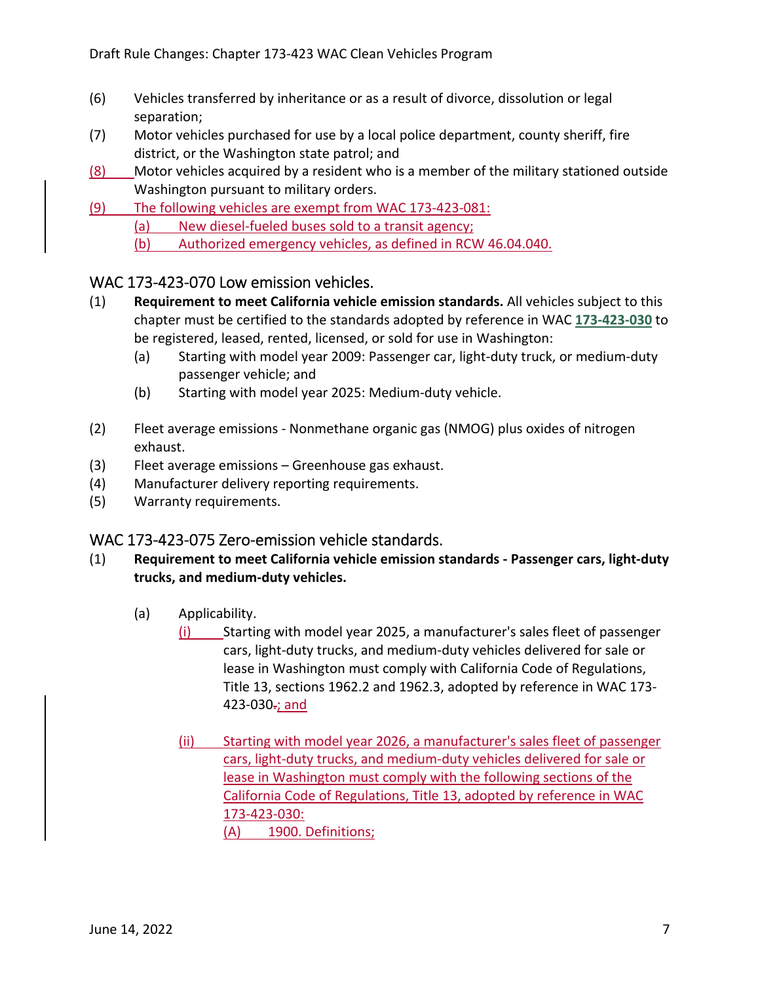- (6) Vehicles transferred by inheritance or as a result of divorce, dissolution or legal separation;
- (7) Motor vehicles purchased for use by a local police department, county sheriff, fire district, or the Washington state patrol; and
- (8) Motor vehicles acquired by a resident who is a member of the military stationed outside Washington pursuant to military orders.
- (9) The following vehicles are exempt from WAC 173‐423‐081:
	- (a) New diesel-fueled buses sold to a transit agency;
	- (b) Authorized emergency vehicles, as defined in RCW 46.04.040.

## WAC 173‐423‐070 Low emission vehicles.

- (1) **Requirement to meet California vehicle emission standards.** All vehicles subject to this chapter must be certified to the standards adopted by reference in WAC **173‐423‐030** to be registered, leased, rented, licensed, or sold for use in Washington:
	- (a) Starting with model year 2009: Passenger car, light‐duty truck, or medium‐duty passenger vehicle; and
	- (b) Starting with model year 2025: Medium‐duty vehicle.
- (2) Fleet average emissions ‐ Nonmethane organic gas (NMOG) plus oxides of nitrogen exhaust.
- (3) Fleet average emissions Greenhouse gas exhaust.
- (4) Manufacturer delivery reporting requirements.
- (5) Warranty requirements.

## WAC 173‐423‐075 Zero‐emission vehicle standards.

- (1) **Requirement to meet California vehicle emission standards ‐ Passenger cars, light‐duty trucks, and medium‐duty vehicles.**
	- (a) Applicability.
		- (i) Starting with model year 2025, a manufacturer's sales fleet of passenger cars, light‐duty trucks, and medium‐duty vehicles delivered for sale or lease in Washington must comply with California Code of Regulations, Title 13, sections 1962.2 and 1962.3, adopted by reference in WAC 173‐ 423-030<del>.</del>; and
		- (ii) Starting with model year 2026, a manufacturer's sales fleet of passenger cars, light‐duty trucks, and medium‐duty vehicles delivered for sale or lease in Washington must comply with the following sections of the California Code of Regulations, Title 13, adopted by reference in WAC (A) 1900. Definitions; 173‐423‐030: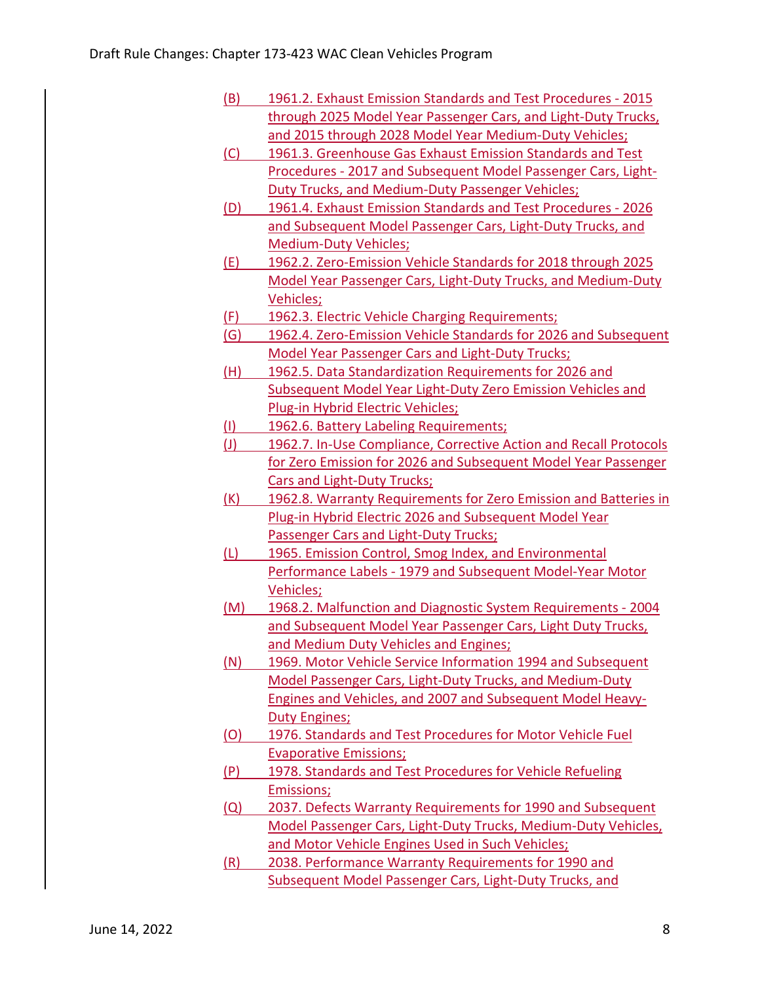| 1961.2. Exhaust Emission Standards and Test Procedures - 2015     |
|-------------------------------------------------------------------|
| through 2025 Model Year Passenger Cars, and Light-Duty Trucks,    |
| and 2015 through 2028 Model Year Medium-Duty Vehicles;            |
| 1961.3. Greenhouse Gas Exhaust Emission Standards and Test        |
| Procedures - 2017 and Subsequent Model Passenger Cars, Light-     |
| Duty Trucks, and Medium-Duty Passenger Vehicles;                  |
| 1961.4. Exhaust Emission Standards and Test Procedures - 2026     |
| and Subsequent Model Passenger Cars, Light-Duty Trucks, and       |
| <b>Medium-Duty Vehicles;</b>                                      |
| 1962.2. Zero-Emission Vehicle Standards for 2018 through 2025     |
| Model Year Passenger Cars, Light-Duty Trucks, and Medium-Duty     |
| Vehicles;                                                         |
| 1962.3. Electric Vehicle Charging Requirements;                   |
| 1962.4. Zero-Emission Vehicle Standards for 2026 and Subsequent   |
| <b>Model Year Passenger Cars and Light-Duty Trucks;</b>           |
| 1962.5. Data Standardization Requirements for 2026 and            |
| Subsequent Model Year Light-Duty Zero Emission Vehicles and       |
| Plug-in Hybrid Electric Vehicles;                                 |
| 1962.6. Battery Labeling Requirements;                            |
| 1962.7. In-Use Compliance, Corrective Action and Recall Protocols |
| for Zero Emission for 2026 and Subsequent Model Year Passenger    |
| <b>Cars and Light-Duty Trucks;</b>                                |
| 1962.8. Warranty Requirements for Zero Emission and Batteries in  |
| Plug-in Hybrid Electric 2026 and Subsequent Model Year            |
| Passenger Cars and Light-Duty Trucks;                             |
| 1965. Emission Control, Smog Index, and Environmental             |
| Performance Labels - 1979 and Subsequent Model-Year Motor         |
| Vehicles;                                                         |
| 1968.2. Malfunction and Diagnostic System Requirements - 2004     |
| and Subsequent Model Year Passenger Cars, Light Duty Trucks,      |
| and Medium Duty Vehicles and Engines;                             |
| 1969. Motor Vehicle Service Information 1994 and Subsequent       |
| Model Passenger Cars, Light-Duty Trucks, and Medium-Duty          |
| Engines and Vehicles, and 2007 and Subsequent Model Heavy-        |
| <b>Duty Engines;</b>                                              |
| 1976. Standards and Test Procedures for Motor Vehicle Fuel        |
| <b>Evaporative Emissions;</b>                                     |
| 1978. Standards and Test Procedures for Vehicle Refueling         |
| <b>Emissions;</b>                                                 |
| 2037. Defects Warranty Requirements for 1990 and Subsequent       |
| Model Passenger Cars, Light-Duty Trucks, Medium-Duty Vehicles,    |
| and Motor Vehicle Engines Used in Such Vehicles;                  |
| 2038. Performance Warranty Requirements for 1990 and              |
| <b>Subsequent Model Passenger Cars, Light-Duty Trucks, and</b>    |
|                                                                   |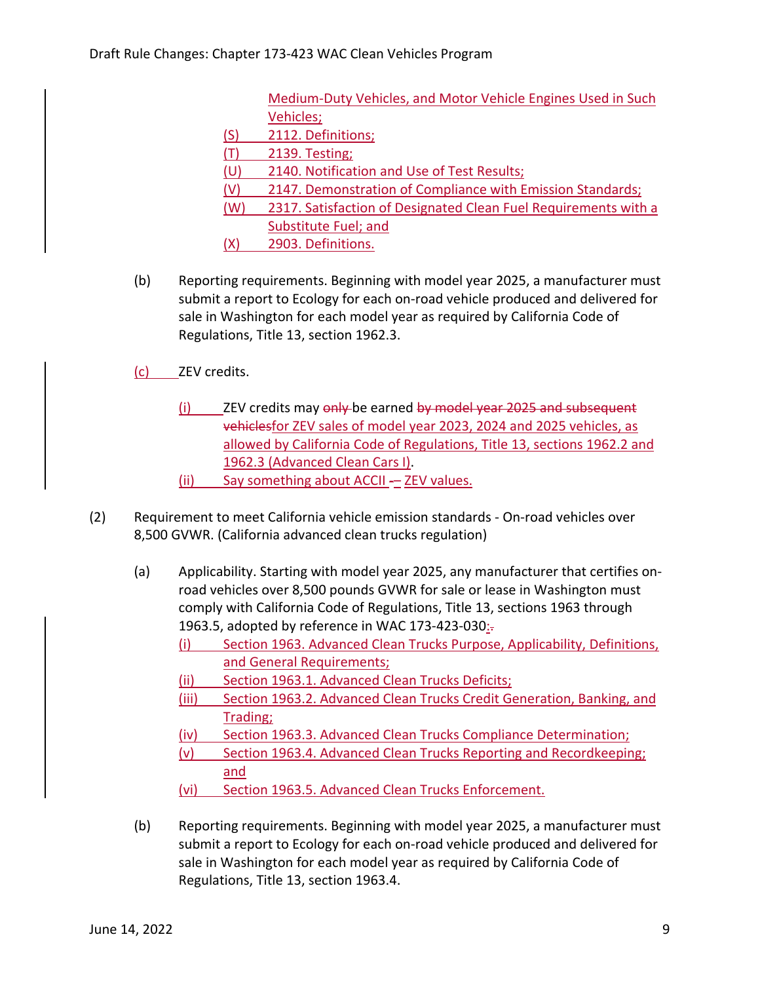Medium‐Duty Vehicles, and Motor Vehicle Engines Used in Such Vehicles;

- (S) 2112. Definitions;
- (T) 2139. Testing;
- (U) 2140. Notification and Use of Test Results;
- (V) 2147. Demonstration of Compliance with Emission Standards;
- (W) 2317. Satisfaction of Designated Clean Fuel Requirements with a Substitute Fuel; and
- (X) 2903. Definitions.
- (b) Reporting requirements. Beginning with model year 2025, a manufacturer must submit a report to Ecology for each on‐road vehicle produced and delivered for sale in Washington for each model year as required by California Code of Regulations, Title 13, section 1962.3.
- (c) \_\_\_\_\_ ZEV credits.
	- (i) ZEV credits may only be earned by model year 2025 and subsequent vehiclesfor ZEV sales of model year 2023, 2024 and 2025 vehicles, as allowed by California Code of Regulations, Title 13, sections 1962.2 and 1962.3 (Advanced Clean Cars I). (ii) Say something about ACCII - ZEV values.
- (2) Requirement to meet California vehicle emission standards ‐ On‐road vehicles over 8,500 GVWR. (California advanced clean trucks regulation)
	- (a) Applicability. Starting with model year 2025, any manufacturer that certifies on‐ road vehicles over 8,500 pounds GVWR for sale or lease in Washington must comply with California Code of Regulations, Title 13, sections 1963 through 1963.5, adopted by reference in WAC 173-423-030<u>:</u>.
		- (i) Section 1963. Advanced Clean Trucks Purpose, Applicability, Definitions, and General Requirements;
		- (ii) Section 1963.1. Advanced Clean Trucks Deficits;
		- (iii) Section 1963.2. Advanced Clean Trucks Credit Generation, Banking, and Trading;
		- (iv) Section 1963.3. Advanced Clean Trucks Compliance Determination;
		- (v) Section 1963.4. Advanced Clean Trucks Reporting and Recordkeeping; and
		- (vi) Section 1963.5. Advanced Clean Trucks Enforcement.
	- (b) Reporting requirements. Beginning with model year 2025, a manufacturer must submit a report to Ecology for each on‐road vehicle produced and delivered for sale in Washington for each model year as required by California Code of Regulations, Title 13, section 1963.4.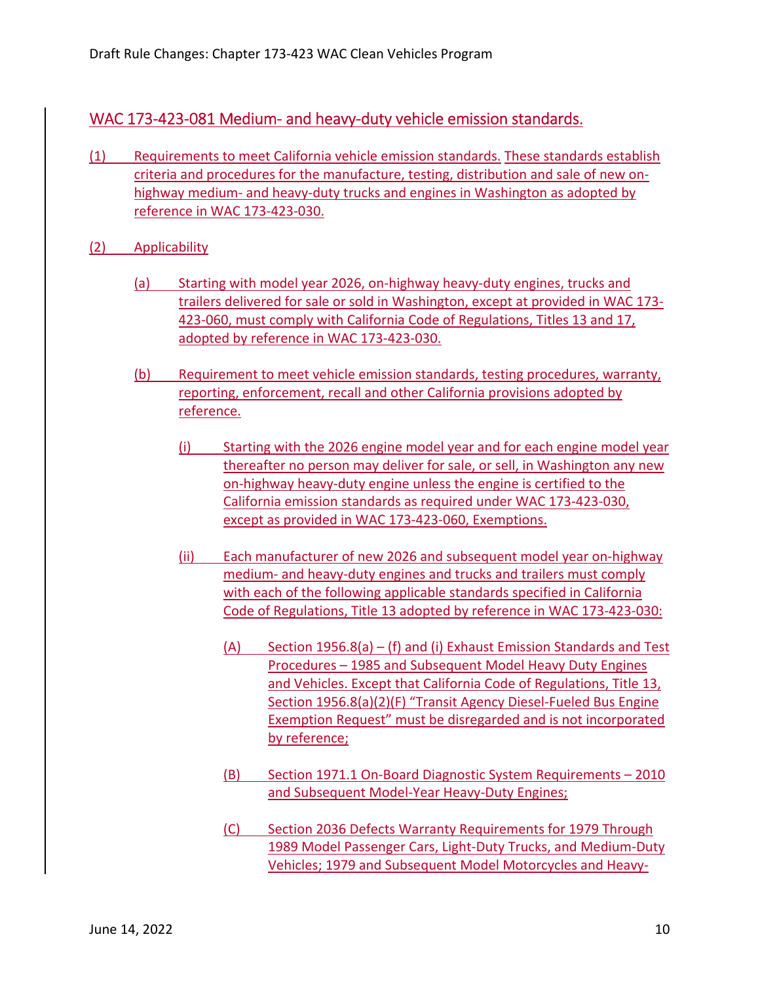# WAC 173‐423‐081 Medium‐ and heavy‐duty vehicle emission standards.

- (1) Requirements to meet California vehicle emission standards. These standards establish criteria and procedures for the manufacture, testing, distribution and sale of new on‐ highway medium- and heavy-duty trucks and engines in Washington as adopted by reference in WAC 173‐423‐030.
- (2) Applicability
	- (a) Starting with model year 2026, on‐highway heavy‐duty engines, trucks and trailers delivered for sale or sold in Washington, except at provided in WAC 173‐ 423‐060, must comply with California Code of Regulations, Titles 13 and 17, adopted by reference in WAC 173‐423‐030.
	- (b) Requirement to meet vehicle emission standards, testing procedures, warranty, reporting, enforcement, recall and other California provisions adopted by reference.
		- (i) Starting with the 2026 engine model year and for each engine model year thereafter no person may deliver for sale, or sell, in Washington any new on-highway heavy-duty engine unless the engine is certified to the California emission standards as required under WAC 173‐423‐030, except as provided in WAC 173‐423‐060, Exemptions.
		- (ii) Each manufacturer of new 2026 and subsequent model year on‐highway medium- and heavy-duty engines and trucks and trailers must comply with each of the following applicable standards specified in California Code of Regulations, Title 13 adopted by reference in WAC 173‐423‐030:
			- (A) Section 1956.8(a) (f) and (i) Exhaust Emission Standards and Test Procedures – 1985 and Subsequent Model Heavy Duty Engines and Vehicles. Except that California Code of Regulations, Title 13, Section 1956.8(a)(2)(F) "Transit Agency Diesel‐Fueled Bus Engine Exemption Request" must be disregarded and is not incorporated by reference;
			- (B) Section 1971.1 On‐Board Diagnostic System Requirements 2010 and Subsequent Model‐Year Heavy‐Duty Engines;
			- (C) Section 2036 Defects Warranty Requirements for 1979 Through 1989 Model Passenger Cars, Light‐Duty Trucks, and Medium‐Duty Vehicles; 1979 and Subsequent Model Motorcycles and Heavy‐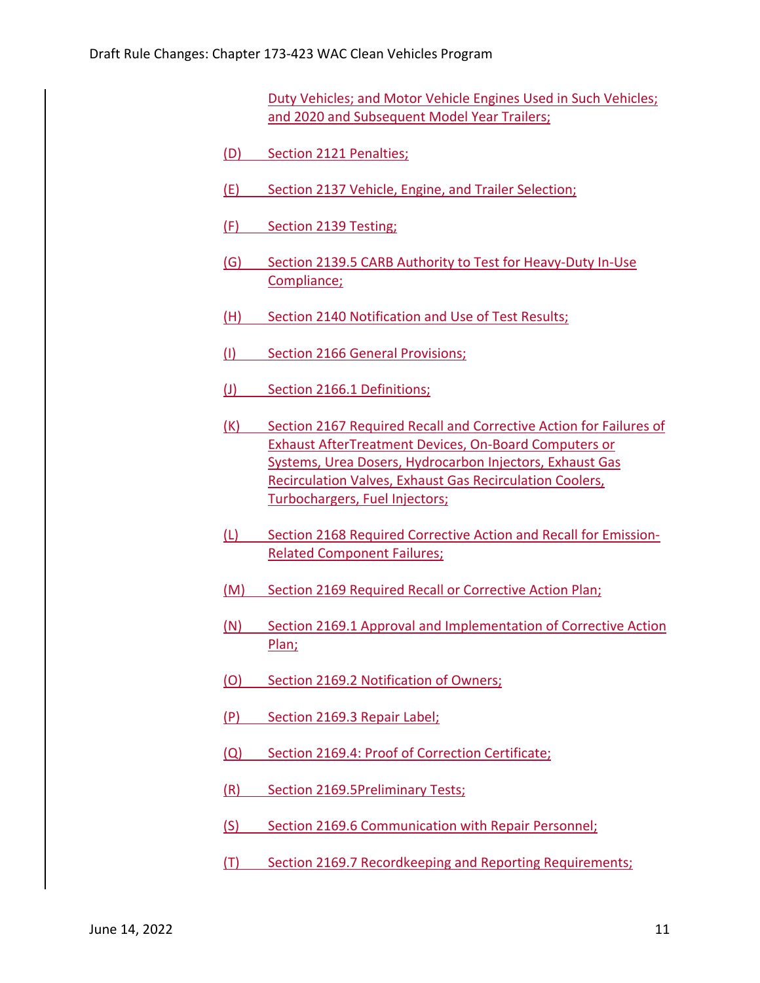Duty Vehicles; and Motor Vehicle Engines Used in Such Vehicles; and 2020 and Subsequent Model Year Trailers;

- (D) Section 2121 Penalties;
- (E) Section 2137 Vehicle, Engine, and Trailer Selection;
- (F) Section 2139 Testing;
- (G) Section 2139.5 CARB Authority to Test for Heavy‐Duty In‐Use Compliance;
- (H) Section 2140 Notification and Use of Test Results;
- (I) Section 2166 General Provisions;
- (J) Section 2166.1 Definitions;
- (K) Section 2167 Required Recall and Corrective Action for Failures of Exhaust AfterTreatment Devices, On‐Board Computers or Systems, Urea Dosers, Hydrocarbon Injectors, Exhaust Gas Recirculation Valves, Exhaust Gas Recirculation Coolers, Turbochargers, Fuel Injectors;
- (L) Section 2168 Required Corrective Action and Recall for Emission‐ Related Component Failures;
- (M) Section 2169 Required Recall or Corrective Action Plan;
- (N) Section 2169.1 Approval and Implementation of Corrective Action Plan;
- (O) Section 2169.2 Notification of Owners;
- (P) Section 2169.3 Repair Label;
- (Q) Section 2169.4: Proof of Correction Certificate;
- (R) Section 2169.5Preliminary Tests;
- (S) Section 2169.6 Communication with Repair Personnel;
- (T) Section 2169.7 Recordkeeping and Reporting Requirements;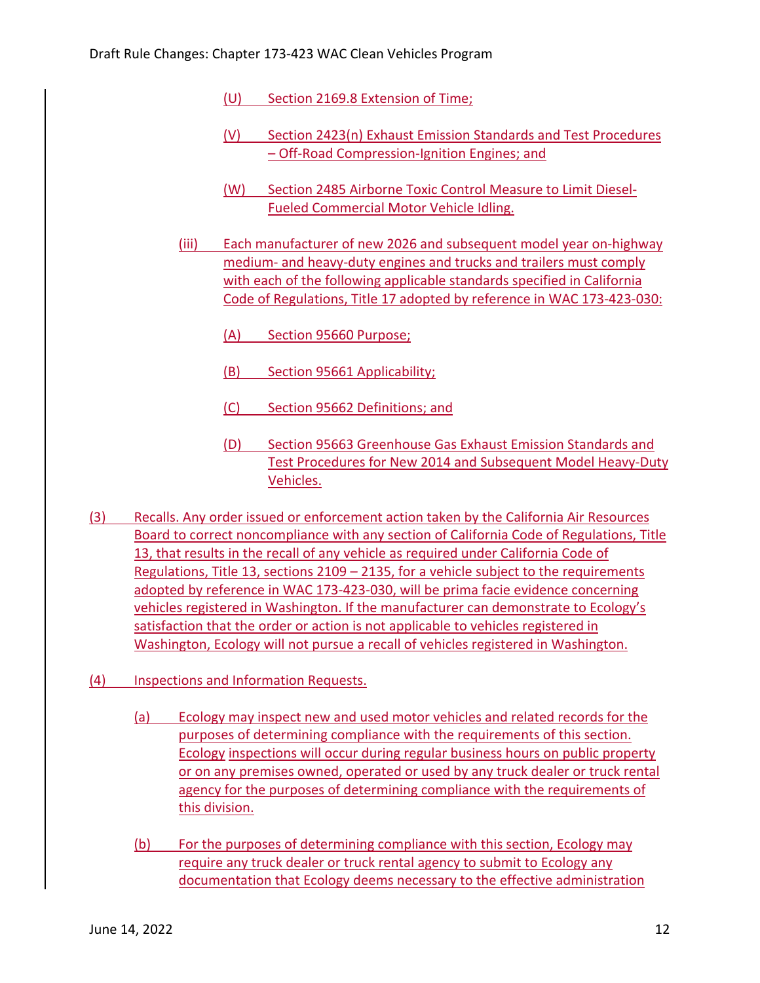- (U) Section 2169.8 Extension of Time;
- (V) Section 2423(n) Exhaust Emission Standards and Test Procedures – Off‐Road Compression‐Ignition Engines; and
- (W) Section 2485 Airborne Toxic Control Measure to Limit Diesel‐ Fueled Commercial Motor Vehicle Idling.
- (iii) Each manufacturer of new 2026 and subsequent model year on‐highway medium- and heavy-duty engines and trucks and trailers must comply with each of the following applicable standards specified in California Code of Regulations, Title 17 adopted by reference in WAC 173‐423‐030:
	- (A) Section 95660 Purpose;
	- (B) Section 95661 Applicability;
	- (C) Section 95662 Definitions; and
	- (D) Section 95663 Greenhouse Gas Exhaust Emission Standards and Test Procedures for New 2014 and Subsequent Model Heavy‐Duty Vehicles.
- (3) Recalls. Any order issued or enforcement action taken by the California Air Resources Board to correct noncompliance with any section of California Code of Regulations, Title 13, that results in the recall of any vehicle as required under California Code of Regulations, Title 13, sections 2109 – 2135, for a vehicle subject to the requirements adopted by reference in WAC 173‐423‐030, will be prima facie evidence concerning vehicles registered in Washington. If the manufacturer can demonstrate to Ecology's satisfaction that the order or action is not applicable to vehicles registered in Washington, Ecology will not pursue a recall of vehicles registered in Washington.
- (4) Inspections and Information Requests.
	- (a) Ecology may inspect new and used motor vehicles and related records for the purposes of determining compliance with the requirements of this section. Ecology inspections will occur during regular business hours on public property or on any premises owned, operated or used by any truck dealer or truck rental agency for the purposes of determining compliance with the requirements of this division.
	- (b) For the purposes of determining compliance with this section, Ecology may require any truck dealer or truck rental agency to submit to Ecology any documentation that Ecology deems necessary to the effective administration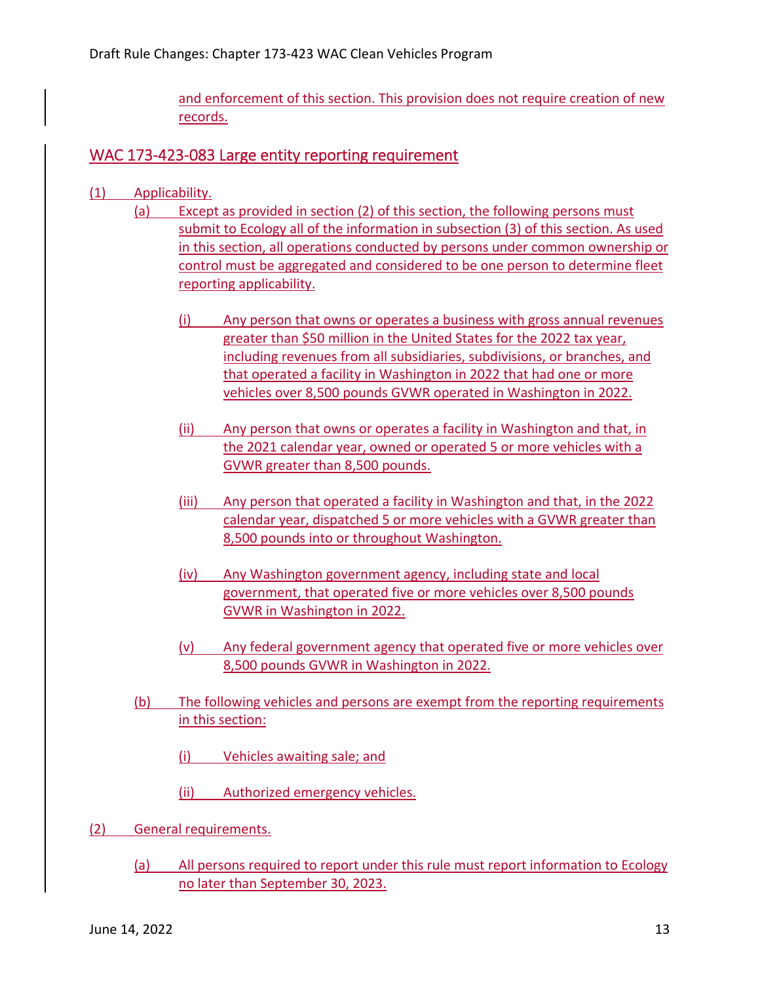and enforcement of this section. This provision does not require creation of new records.

## WAC 173-423-083 Large entity reporting requirement

- (1) Applicability.
	- (a) Except as provided in section (2) of this section, the following persons must submit to Ecology all of the information in subsection (3) of this section. As used in this section, all operations conducted by persons under common ownership or control must be aggregated and considered to be one person to determine fleet reporting applicability.
		- (i) Any person that owns or operates a business with gross annual revenues greater than \$50 million in the United States for the 2022 tax year, including revenues from all subsidiaries, subdivisions, or branches, and that operated a facility in Washington in 2022 that had one or more vehicles over 8,500 pounds GVWR operated in Washington in 2022.
		- (ii) Any person that owns or operates a facility in Washington and that, in the 2021 calendar year, owned or operated 5 or more vehicles with a GVWR greater than 8,500 pounds.
		- (iii) Any person that operated a facility in Washington and that, in the 2022 calendar year, dispatched 5 or more vehicles with a GVWR greater than 8,500 pounds into or throughout Washington.
		- (iv) Any Washington government agency, including state and local government, that operated five or more vehicles over 8,500 pounds GVWR in Washington in 2022.
		- (v) Any federal government agency that operated five or more vehicles over 8,500 pounds GVWR in Washington in 2022.
		- (b) The following vehicles and persons are exempt from the reporting requirements in this section:
			- (i) Vehicles awaiting sale; and
			- (ii) Authorized emergency vehicles.
- (2) General requirements.
	- (a) All persons required to report under this rule must report information to Ecology no later than September 30, 2023.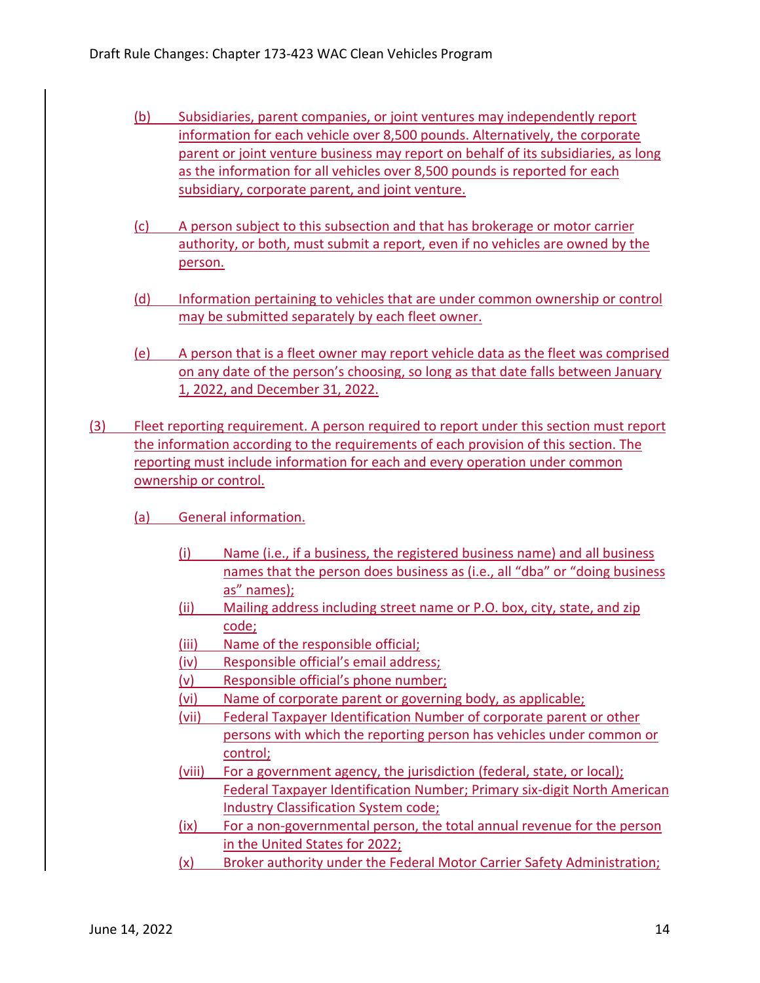- (b) Subsidiaries, parent companies, or joint ventures may independently report information for each vehicle over 8,500 pounds. Alternatively, the corporate parent or joint venture business may report on behalf of its subsidiaries, as long as the information for all vehicles over 8,500 pounds is reported for each subsidiary, corporate parent, and joint venture.
- (c) A person subject to this subsection and that has brokerage or motor carrier authority, or both, must submit a report, even if no vehicles are owned by the person.
- (d) Information pertaining to vehicles that are under common ownership or control may be submitted separately by each fleet owner.
- (e) A person that is a fleet owner may report vehicle data as the fleet was comprised on any date of the person's choosing, so long as that date falls between January 1, 2022, and December 31, 2022.
- (3) Fleet reporting requirement. A person required to report under this section must report the information according to the requirements of each provision of this section. The reporting must include information for each and every operation under common ownership or control.
	- (a) General information.
		- (i) Name (i.e., if a business, the registered business name) and all business names that the person does business as (i.e., all "dba" or "doing business as" names);
		- (ii) Mailing address including street name or P.O. box, city, state, and zip code;
		- (iii) Name of the responsible official;
		- (iv) Responsible official's email address;
		- (v) Responsible official's phone number;
		- (vi) Name of corporate parent or governing body, as applicable;
		- (vii) Federal Taxpayer Identification Number of corporate parent or other persons with which the reporting person has vehicles under common or control;
		- (viii) For a government agency, the jurisdiction (federal, state, or local); Federal Taxpayer Identification Number; Primary six‐digit North American Industry Classification System code;
		- (ix) For a non‐governmental person, the total annual revenue for the person in the United States for 2022;
		- (x) Broker authority under the Federal Motor Carrier Safety Administration;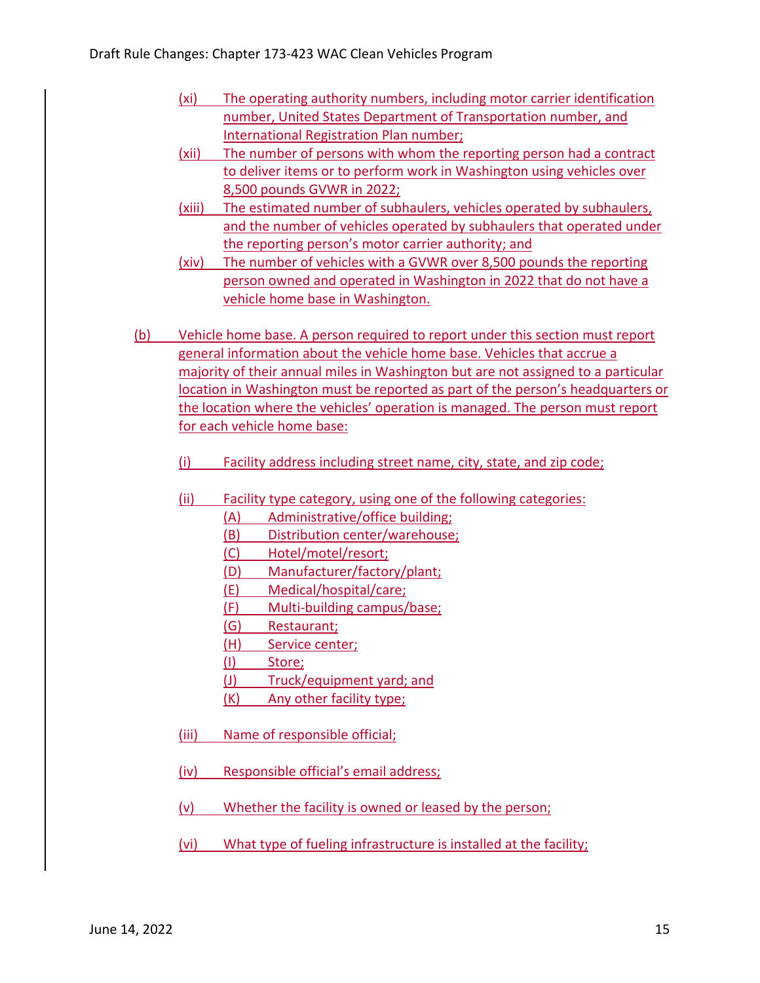- (xi) The operating authority numbers, including motor carrier identification number, United States Department of Transportation number, and **International Registration Plan number;**
- (xii) The number of persons with whom the reporting person had a contract to deliver items or to perform work in Washington using vehicles over 8,500 pounds GVWR in 2022;
- (xiii) The estimated number of subhaulers, vehicles operated by subhaulers, and the number of vehicles operated by subhaulers that operated under the reporting person's motor carrier authority; and
- (xiv) The number of vehicles with a GVWR over 8,500 pounds the reporting person owned and operated in Washington in 2022 that do not have a vehicle home base in Washington.
- (b) Vehicle home base. A person required to report under this section must report general information about the vehicle home base. Vehicles that accrue a majority of their annual miles in Washington but are not assigned to a particular location in Washington must be reported as part of the person's headquarters or the location where the vehicles' operation is managed. The person must report for each vehicle home base:
	- (i) Facility address including street name, city, state, and zip code;
	- (ii) Facility type category, using one of the following categories:
		- (A) Administrative/office building;
		- (B) Distribution center/warehouse;
		- (C) Hotel/motel/resort;
		- (D) Manufacturer/factory/plant;
		- (E) Medical/hospital/care;
		- (F) Multi‐building campus/base;
		- (G) Restaurant;
		- (H) Service center;
		- (I) Store;
		- (J) Truck/equipment yard; and
		- (K) Any other facility type;
	- (iii) Name of responsible official;
	- (iv) Responsible official's email address;
	- (v) Whether the facility is owned or leased by the person;
	- (vi) What type of fueling infrastructure is installed at the facility;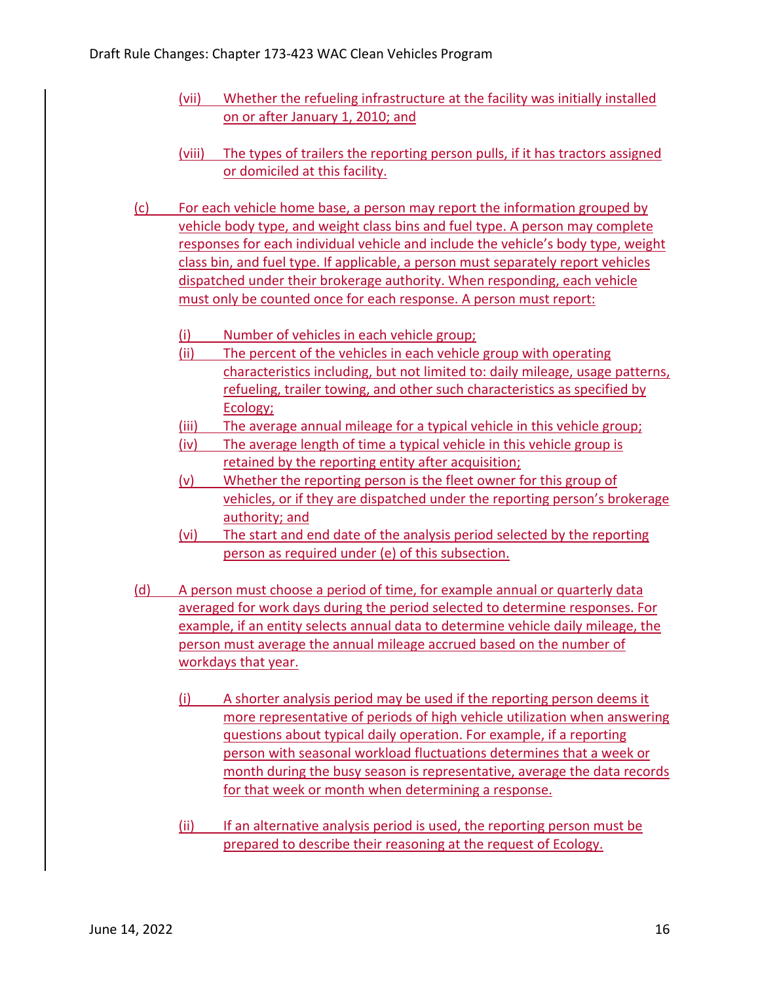- (vii) Whether the refueling infrastructure at the facility was initially installed on or after January 1, 2010; and
- (viii) The types of trailers the reporting person pulls, if it has tractors assigned or domiciled at this facility.
- (c) For each vehicle home base, a person may report the information grouped by vehicle body type, and weight class bins and fuel type. A person may complete responses for each individual vehicle and include the vehicle's body type, weight class bin, and fuel type. If applicable, a person must separately report vehicles dispatched under their brokerage authority. When responding, each vehicle must only be counted once for each response. A person must report:
	- (i) Number of vehicles in each vehicle group;
	- (ii) The percent of the vehicles in each vehicle group with operating characteristics including, but not limited to: daily mileage, usage patterns, refueling, trailer towing, and other such characteristics as specified by Ecology;
	- (iii) The average annual mileage for a typical vehicle in this vehicle group;
	- (iv) The average length of time a typical vehicle in this vehicle group is retained by the reporting entity after acquisition;
	- (v) Whether the reporting person is the fleet owner for this group of vehicles, or if they are dispatched under the reporting person's brokerage authority; and
	- (vi) The start and end date of the analysis period selected by the reporting person as required under (e) of this subsection.
- (d) A person must choose a period of time, for example annual or quarterly data averaged for work days during the period selected to determine responses. For example, if an entity selects annual data to determine vehicle daily mileage, the person must average the annual mileage accrued based on the number of workdays that year.
	- (i) A shorter analysis period may be used if the reporting person deems it more representative of periods of high vehicle utilization when answering questions about typical daily operation. For example, if a reporting person with seasonal workload fluctuations determines that a week or month during the busy season is representative, average the data records for that week or month when determining a response.
	- (ii) If an alternative analysis period is used, the reporting person must be prepared to describe their reasoning at the request of Ecology.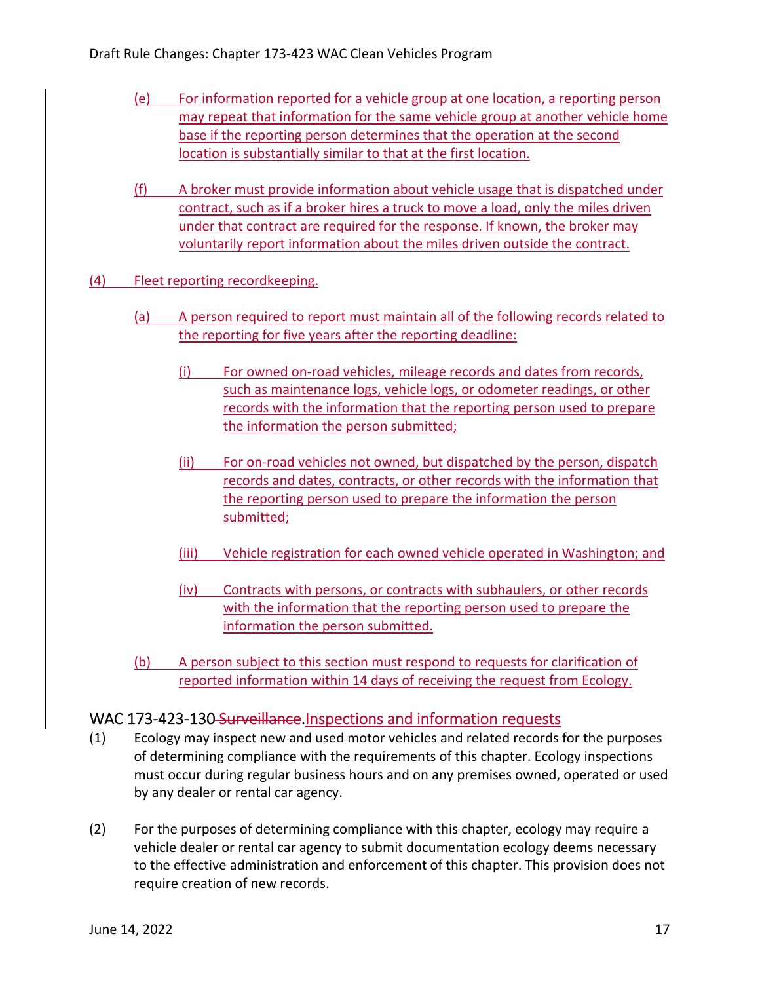- (e) For information reported for a vehicle group at one location, a reporting person may repeat that information for the same vehicle group at another vehicle home base if the reporting person determines that the operation at the second location is substantially similar to that at the first location.
- (f) A broker must provide information about vehicle usage that is dispatched under contract, such as if a broker hires a truck to move a load, only the miles driven under that contract are required for the response. If known, the broker may voluntarily report information about the miles driven outside the contract.
- (4) Fleet reporting recordkeeping.
	- (a) A person required to report must maintain all of the following records related to the reporting for five years after the reporting deadline:
		- (i) For owned on‐road vehicles, mileage records and dates from records, such as maintenance logs, vehicle logs, or odometer readings, or other records with the information that the reporting person used to prepare the information the person submitted;
		- (ii) For on-road vehicles not owned, but dispatched by the person, dispatch records and dates, contracts, or other records with the information that the reporting person used to prepare the information the person submitted;
		- (iii) Vehicle registration for each owned vehicle operated in Washington; and
		- (iv) Contracts with persons, or contracts with subhaulers, or other records with the information that the reporting person used to prepare the information the person submitted.
	- (b) A person subject to this section must respond to requests for clarification of reported information within 14 days of receiving the request from Ecology.

#### WAC 173-423-130 Surveillance. Inspections and information requests

- (1) Ecology may inspect new and used motor vehicles and related records for the purposes of determining compliance with the requirements of this chapter. Ecology inspections must occur during regular business hours and on any premises owned, operated or used by any dealer or rental car agency.
- (2) For the purposes of determining compliance with this chapter, ecology may require a vehicle dealer or rental car agency to submit documentation ecology deems necessary to the effective administration and enforcement of this chapter. This provision does not require creation of new records.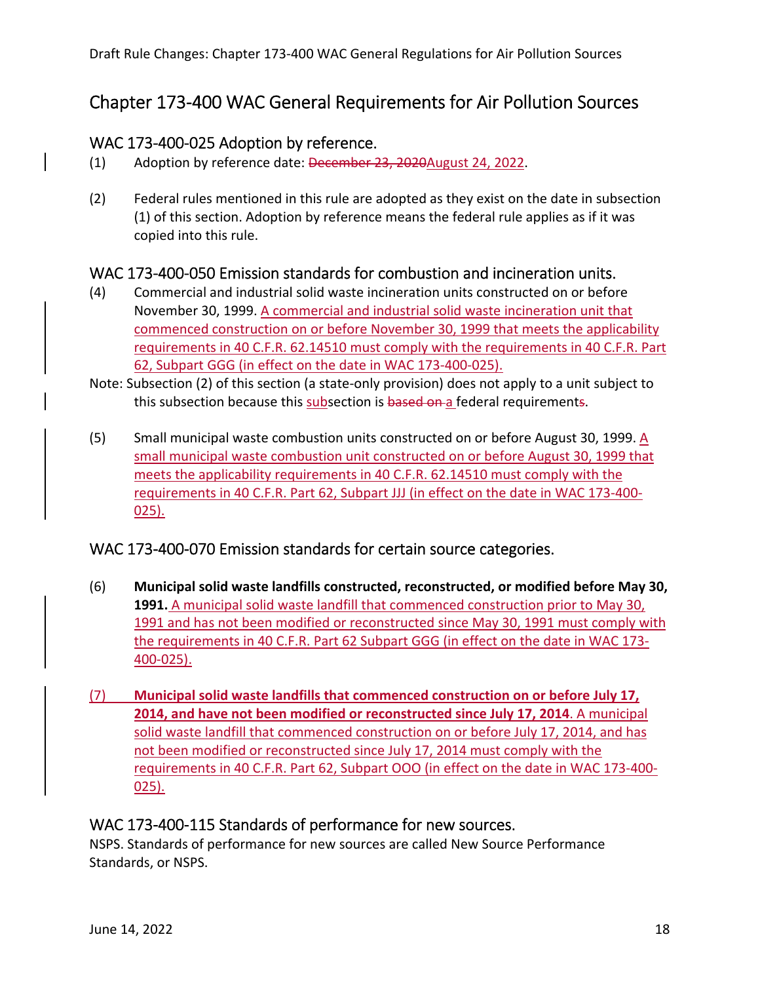# Chapter 173‐400 WAC General Requirements for Air Pollution Sources

#### WAC 173‐400‐025 Adoption by reference.

- (1) Adoption by reference date: December 23, 2020 August 24, 2022.
- (2) Federal rules mentioned in this rule are adopted as they exist on the date in subsection (1) of this section. Adoption by reference means the federal rule applies as if it was copied into this rule.

# WAC 173‐400‐050 Emission standards for combustion and incineration units.

- (4) Commercial and industrial solid waste incineration units constructed on or before November 30, 1999. A commercial and industrial solid waste incineration unit that commenced construction on or before November 30, 1999 that meets the applicability requirements in 40 C.F.R. 62.14510 must comply with the requirements in 40 C.F.R. Part 62, Subpart GGG (in effect on the date in WAC 173‐400‐025).
- Note: Subsection (2) of this section (a state‐only provision) does not apply to a unit subject to this subsection because this subsection is <del>based on a</del> federal requirement<del>s</del>.
- (5) Small municipal waste combustion units constructed on or before August 30, 1999. A small municipal waste combustion unit constructed on or before August 30, 1999 that meets the applicability requirements in 40 C.F.R. 62.14510 must comply with the requirements in 40 C.F.R. Part 62, Subpart JJJ (in effect on the date in WAC 173‐400‐ 025).

## WAC 173‐400‐070 Emission standards for certain source categories.

- (6) **Municipal solid waste landfills constructed, reconstructed, or modified before May 30, 1991.** A municipal solid waste landfill that commenced construction prior to May 30, 1991 and has not been modified or reconstructed since May 30, 1991 must comply with the requirements in 40 C.F.R. Part 62 Subpart GGG (in effect on the date in WAC 173‐ 400‐025).
- (7) **Municipal solid waste landfills that commenced construction on or before July 17, 2014, and have not been modified or reconstructed since July 17, 2014**. A municipal solid waste landfill that commenced construction on or before July 17, 2014, and has not been modified or reconstructed since July 17, 2014 must comply with the requirements in 40 C.F.R. Part 62, Subpart OOO (in effect on the date in WAC 173‐400‐ 025).

#### WAC 173‐400‐115 Standards of performance for new sources.

 NSPS. Standards of performance for new sources are called New Source Performance Standards, or NSPS.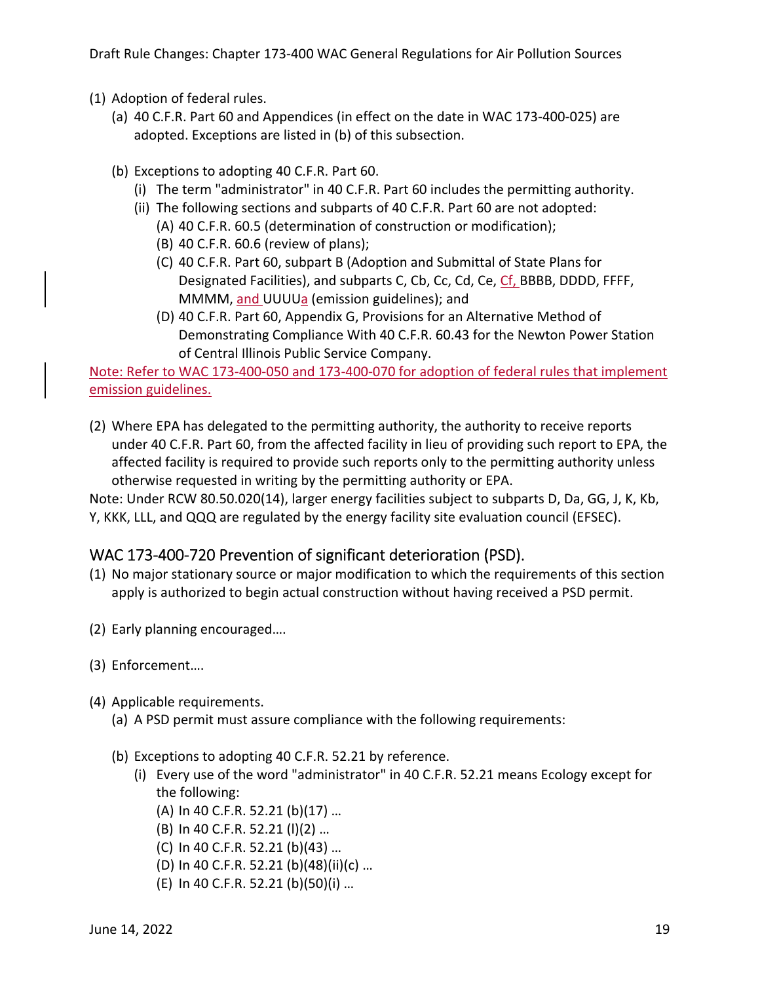Draft Rule Changes: Chapter 173‐400 WAC General Regulations for Air Pollution Sources

- (1) Adoption of federal rules.
	- (a) 40 C.F.R. Part 60 and Appendices (in effect on the date in WAC 173‐400‐025) are adopted. Exceptions are listed in (b) of this subsection.
	- (b) Exceptions to adopting 40 C.F.R. Part 60.
		- (i) The term "administrator" in 40 C.F.R. Part 60 includes the permitting authority.
		- (ii) The following sections and subparts of 40 C.F.R. Part 60 are not adopted:
			- (A) 40 C.F.R. 60.5 (determination of construction or modification);
			- (B) 40 C.F.R. 60.6 (review of plans);
			- (C) 40 C.F.R. Part 60, subpart B (Adoption and Submittal of State Plans for Designated Facilities), and subparts C, Cb, Cc, Cd, Ce, Cf, BBBB, DDDD, FFFF, MMMM, <u>and </u>UUUU<u>a</u> (emission guidelines); and
			- (D) 40 C.F.R. Part 60, Appendix G, Provisions for an Alternative Method of Demonstrating Compliance With 40 C.F.R. 60.43 for the Newton Power Station of Central Illinois Public Service Company.

 Note: Refer to WAC 173‐400‐050 and 173‐400‐070 for adoption of federal rules that implement emission guidelines.

 (2) Where EPA has delegated to the permitting authority, the authority to receive reports under 40 C.F.R. Part 60, from the affected facility in lieu of providing such report to EPA, the affected facility is required to provide such reports only to the permitting authority unless otherwise requested in writing by the permitting authority or EPA.

 Note: Under RCW 80.50.020(14), larger energy facilities subject to subparts D, Da, GG, J, K, Kb, Y, KKK, LLL, and QQQ are regulated by the energy facility site evaluation council (EFSEC).

#### WAC 173‐400‐720 Prevention of significant deterioration (PSD).

- (1) No major stationary source or major modification to which the requirements of this section apply is authorized to begin actual construction without having received a PSD permit.
- (2) Early planning encouraged….
- (3) Enforcement….
- (4) Applicable requirements.
	- (a) A PSD permit must assure compliance with the following requirements:
	- (b) Exceptions to adopting 40 C.F.R. 52.21 by reference.
		- (i) Every use of the word "administrator" in 40 C.F.R. 52.21 means Ecology except for the following:
			- (A) In 40 C.F.R. 52.21 (b)(17) …
			- (B) In 40 C.F.R. 52.21 (l)(2) …
			- (C) In 40 C.F.R. 52.21 (b)(43) …
			- (D) In 40 C.F.R. 52.21 (b)(48)(ii)(c) …
			- (E) In 40 C.F.R. 52.21 (b)(50)(i) …